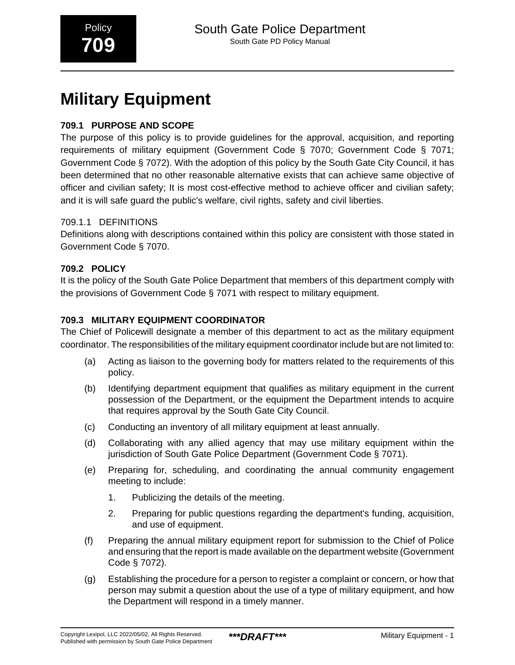# **Military Equipment**

# **709.1 PURPOSE AND SCOPE**

The purpose of this policy is to provide guidelines for the approval, acquisition, and reporting requirements of military equipment (Government Code § 7070; Government Code § 7071; Government Code § 7072). With the adoption of this policy by the South Gate City Council, it has been determined that no other reasonable alternative exists that can achieve same objective of officer and civilian safety; It is most cost-effective method to achieve officer and civilian safety; and it is will safe guard the public's welfare, civil rights, safety and civil liberties.

# 709.1.1 DEFINITIONS

Definitions along with descriptions contained within this policy are consistent with those stated in Government Code § 7070.

# **709.2 POLICY**

It is the policy of the South Gate Police Department that members of this department comply with the provisions of Government Code § 7071 with respect to military equipment.

# **709.3 MILITARY EQUIPMENT COORDINATOR**

The Chief of Policewill designate a member of this department to act as the military equipment coordinator. The responsibilities of the military equipment coordinator include but are not limited to:

- (a) Acting as liaison to the governing body for matters related to the requirements of this policy.
- (b) Identifying department equipment that qualifies as military equipment in the current possession of the Department, or the equipment the Department intends to acquire that requires approval by the South Gate City Council.
- (c) Conducting an inventory of all military equipment at least annually.
- (d) Collaborating with any allied agency that may use military equipment within the jurisdiction of South Gate Police Department (Government Code § 7071).
- (e) Preparing for, scheduling, and coordinating the annual community engagement meeting to include:
	- 1. Publicizing the details of the meeting.
	- 2. Preparing for public questions regarding the department's funding, acquisition, and use of equipment.
- (f) Preparing the annual military equipment report for submission to the Chief of Police and ensuring that the report is made available on the department website (Government Code § 7072).
- (g) Establishing the procedure for a person to register a complaint or concern, or how that person may submit a question about the use of a type of military equipment, and how the Department will respond in a timely manner.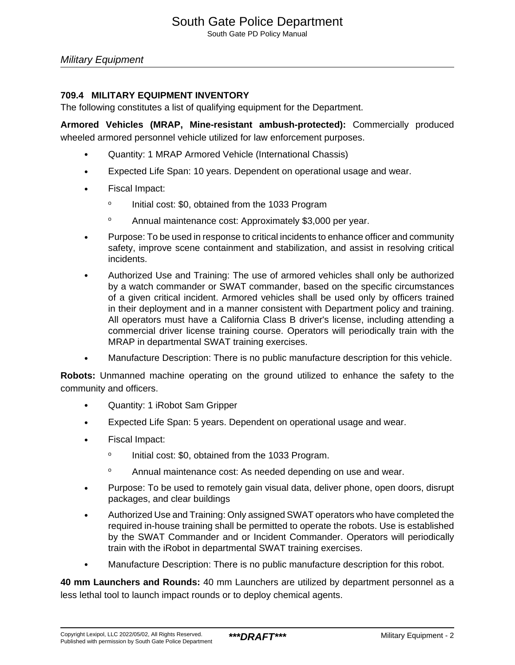#### **709.4 MILITARY EQUIPMENT INVENTORY**

The following constitutes a list of qualifying equipment for the Department.

**Armored Vehicles (MRAP, Mine-resistant ambush-protected):** Commercially produced wheeled armored personnel vehicle utilized for law enforcement purposes.

- Quantity: 1 MRAP Armored Vehicle (International Chassis)
- Expected Life Span: 10 years. Dependent on operational usage and wear.
- Fiscal Impact:
	- o Initial cost: \$0, obtained from the 1033 Program
	- <sup>o</sup> Annual maintenance cost: Approximately \$3,000 per year.
- Purpose: To be used in response to critical incidents to enhance officer and community safety, improve scene containment and stabilization, and assist in resolving critical incidents.
- Authorized Use and Training: The use of armored vehicles shall only be authorized by a watch commander or SWAT commander, based on the specific circumstances of a given critical incident. Armored vehicles shall be used only by officers trained in their deployment and in a manner consistent with Department policy and training. All operators must have a California Class B driver's license, including attending a commercial driver license training course. Operators will periodically train with the MRAP in departmental SWAT training exercises.
- Manufacture Description: There is no public manufacture description for this vehicle.

**Robots:** Unmanned machine operating on the ground utilized to enhance the safety to the community and officers.

- Quantity: 1 iRobot Sam Gripper
- Expected Life Span: 5 years. Dependent on operational usage and wear.
- Fiscal Impact:
	- o Initial cost: \$0, obtained from the 1033 Program.
	- <sup>o</sup> Annual maintenance cost: As needed depending on use and wear.
- Purpose: To be used to remotely gain visual data, deliver phone, open doors, disrupt packages, and clear buildings
- Authorized Use and Training: Only assigned SWAT operators who have completed the required in-house training shall be permitted to operate the robots. Use is established by the SWAT Commander and or Incident Commander. Operators will periodically train with the iRobot in departmental SWAT training exercises.
- Manufacture Description: There is no public manufacture description for this robot.

**40 mm Launchers and Rounds:** 40 mm Launchers are utilized by department personnel as a less lethal tool to launch impact rounds or to deploy chemical agents.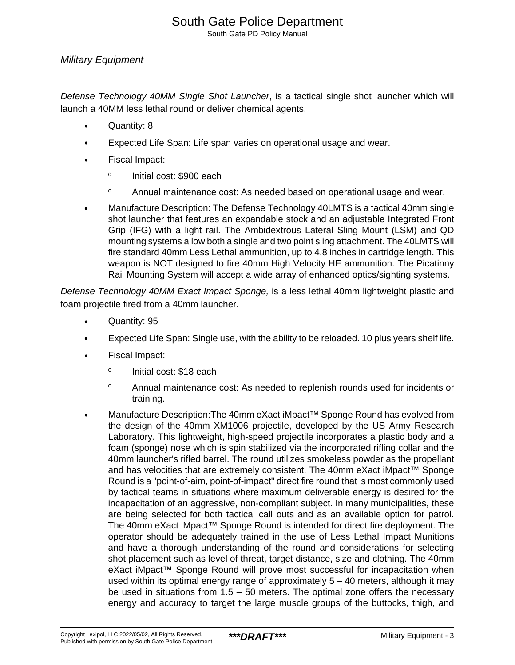## Military Equipment

Defense Technology 40MM Single Shot Launcher, is a tactical single shot launcher which will launch a 40MM less lethal round or deliver chemical agents.

- Quantity: 8
- Expected Life Span: Life span varies on operational usage and wear.
- Fiscal Impact:
	- o Initial cost: \$900 each
	- <sup>o</sup> Annual maintenance cost: As needed based on operational usage and wear.
- Manufacture Description: The Defense Technology 40LMTS is a tactical 40mm single shot launcher that features an expandable stock and an adjustable Integrated Front Grip (IFG) with a light rail. The Ambidextrous Lateral Sling Mount (LSM) and QD mounting systems allow both a single and two point sling attachment. The 40LMTS will fire standard 40mm Less Lethal ammunition, up to 4.8 inches in cartridge length. This weapon is NOT designed to fire 40mm High Velocity HE ammunition. The Picatinny Rail Mounting System will accept a wide array of enhanced optics/sighting systems.

Defense Technology 40MM Exact Impact Sponge, is a less lethal 40mm lightweight plastic and foam projectile fired from a 40mm launcher.

- Quantity: 95
- Expected Life Span: Single use, with the ability to be reloaded. 10 plus years shelf life.
- Fiscal Impact:
	- o Initial cost: \$18 each
	- <sup>o</sup> Annual maintenance cost: As needed to replenish rounds used for incidents or training.
- Manufacture Description:The 40mm eXact iMpact™ Sponge Round has evolved from the design of the 40mm XM1006 projectile, developed by the US Army Research Laboratory. This lightweight, high-speed projectile incorporates a plastic body and a foam (sponge) nose which is spin stabilized via the incorporated rifling collar and the 40mm launcher's rifled barrel. The round utilizes smokeless powder as the propellant and has velocities that are extremely consistent. The 40mm eXact iMpact™ Sponge Round is a "point-of-aim, point-of-impact" direct fire round that is most commonly used by tactical teams in situations where maximum deliverable energy is desired for the incapacitation of an aggressive, non-compliant subject. In many municipalities, these are being selected for both tactical call outs and as an available option for patrol. The 40mm eXact iMpact™ Sponge Round is intended for direct fire deployment. The operator should be adequately trained in the use of Less Lethal Impact Munitions and have a thorough understanding of the round and considerations for selecting shot placement such as level of threat, target distance, size and clothing. The 40mm eXact iMpact<sup>™</sup> Sponge Round will prove most successful for incapacitation when used within its optimal energy range of approximately  $5 - 40$  meters, although it may be used in situations from 1.5 – 50 meters. The optimal zone offers the necessary energy and accuracy to target the large muscle groups of the buttocks, thigh, and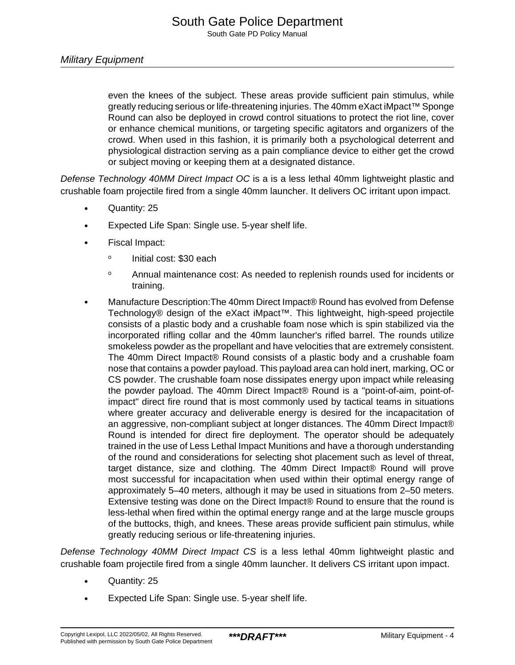even the knees of the subject. These areas provide sufficient pain stimulus, while greatly reducing serious or life-threatening injuries. The 40mm eXact iMpact™ Sponge Round can also be deployed in crowd control situations to protect the riot line, cover or enhance chemical munitions, or targeting specific agitators and organizers of the crowd. When used in this fashion, it is primarily both a psychological deterrent and physiological distraction serving as a pain compliance device to either get the crowd or subject moving or keeping them at a designated distance.

Defense Technology 40MM Direct Impact OC is a is a less lethal 40mm lightweight plastic and crushable foam projectile fired from a single 40mm launcher. It delivers OC irritant upon impact.

- Quantity: 25
- Expected Life Span: Single use. 5-year shelf life.
- Fiscal Impact:
	- o Initial cost: \$30 each
	- <sup>o</sup> Annual maintenance cost: As needed to replenish rounds used for incidents or training.
- Manufacture Description:The 40mm Direct Impact® Round has evolved from Defense Technology® design of the eXact iMpact™. This lightweight, high-speed projectile consists of a plastic body and a crushable foam nose which is spin stabilized via the incorporated rifling collar and the 40mm launcher's rifled barrel. The rounds utilize smokeless powder as the propellant and have velocities that are extremely consistent. The 40mm Direct Impact® Round consists of a plastic body and a crushable foam nose that contains a powder payload. This payload area can hold inert, marking, OC or CS powder. The crushable foam nose dissipates energy upon impact while releasing the powder payload. The 40mm Direct Impact® Round is a "point-of-aim, point-ofimpact" direct fire round that is most commonly used by tactical teams in situations where greater accuracy and deliverable energy is desired for the incapacitation of an aggressive, non-compliant subject at longer distances. The 40mm Direct Impact® Round is intended for direct fire deployment. The operator should be adequately trained in the use of Less Lethal Impact Munitions and have a thorough understanding of the round and considerations for selecting shot placement such as level of threat, target distance, size and clothing. The 40mm Direct Impact® Round will prove most successful for incapacitation when used within their optimal energy range of approximately 5–40 meters, although it may be used in situations from 2–50 meters. Extensive testing was done on the Direct Impact® Round to ensure that the round is less-lethal when fired within the optimal energy range and at the large muscle groups of the buttocks, thigh, and knees. These areas provide sufficient pain stimulus, while greatly reducing serious or life-threatening injuries.

Defense Technology 40MM Direct Impact CS is a less lethal 40mm lightweight plastic and crushable foam projectile fired from a single 40mm launcher. It delivers CS irritant upon impact.

- Quantity: 25
- Expected Life Span: Single use. 5-year shelf life.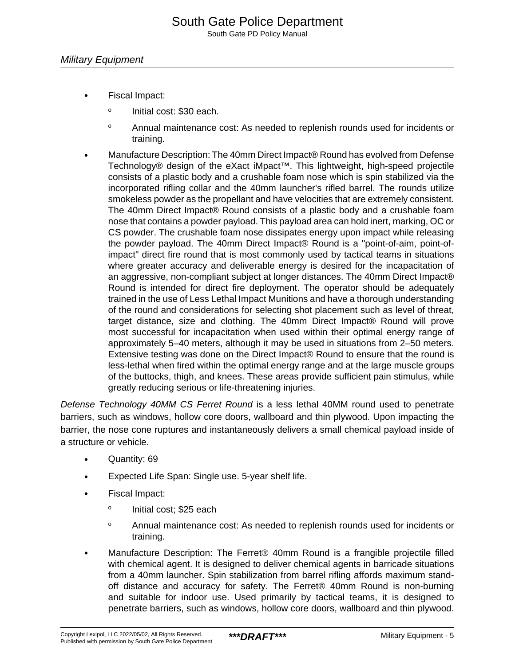- Fiscal Impact:
	- o Initial cost: \$30 each.
	- <sup>o</sup> Annual maintenance cost: As needed to replenish rounds used for incidents or training.
- Manufacture Description: The 40mm Direct Impact® Round has evolved from Defense Technology® design of the eXact iMpact™. This lightweight, high-speed projectile consists of a plastic body and a crushable foam nose which is spin stabilized via the incorporated rifling collar and the 40mm launcher's rifled barrel. The rounds utilize smokeless powder as the propellant and have velocities that are extremely consistent. The 40mm Direct Impact® Round consists of a plastic body and a crushable foam nose that contains a powder payload. This payload area can hold inert, marking, OC or CS powder. The crushable foam nose dissipates energy upon impact while releasing the powder payload. The 40mm Direct Impact® Round is a "point-of-aim, point-ofimpact" direct fire round that is most commonly used by tactical teams in situations where greater accuracy and deliverable energy is desired for the incapacitation of an aggressive, non-compliant subject at longer distances. The 40mm Direct Impact® Round is intended for direct fire deployment. The operator should be adequately trained in the use of Less Lethal Impact Munitions and have a thorough understanding of the round and considerations for selecting shot placement such as level of threat, target distance, size and clothing. The 40mm Direct Impact® Round will prove most successful for incapacitation when used within their optimal energy range of approximately 5–40 meters, although it may be used in situations from 2–50 meters. Extensive testing was done on the Direct Impact® Round to ensure that the round is less-lethal when fired within the optimal energy range and at the large muscle groups of the buttocks, thigh, and knees. These areas provide sufficient pain stimulus, while greatly reducing serious or life-threatening injuries.

Defense Technology 40MM CS Ferret Round is a less lethal 40MM round used to penetrate barriers, such as windows, hollow core doors, wallboard and thin plywood. Upon impacting the barrier, the nose cone ruptures and instantaneously delivers a small chemical payload inside of a structure or vehicle.

- Quantity: 69
- Expected Life Span: Single use. 5-year shelf life.
- Fiscal Impact:
	- o Initial cost; \$25 each
	- <sup>o</sup> Annual maintenance cost: As needed to replenish rounds used for incidents or training.
- Manufacture Description: The Ferret® 40mm Round is a frangible projectile filled with chemical agent. It is designed to deliver chemical agents in barricade situations from a 40mm launcher. Spin stabilization from barrel rifling affords maximum standoff distance and accuracy for safety. The Ferret® 40mm Round is non-burning and suitable for indoor use. Used primarily by tactical teams, it is designed to penetrate barriers, such as windows, hollow core doors, wallboard and thin plywood.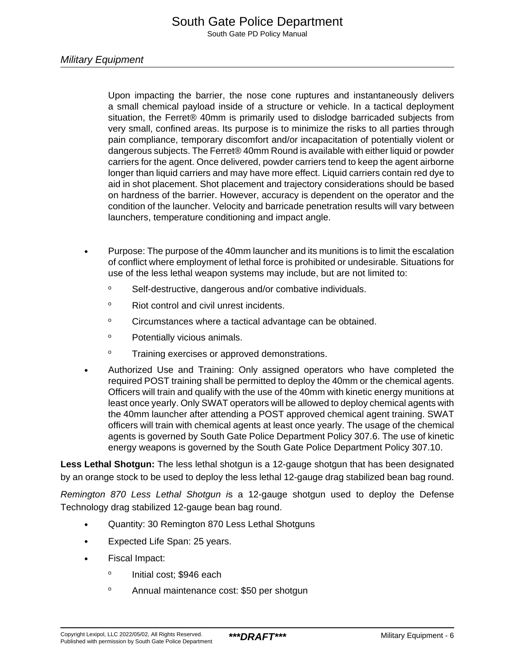Upon impacting the barrier, the nose cone ruptures and instantaneously delivers a small chemical payload inside of a structure or vehicle. In a tactical deployment situation, the Ferret® 40mm is primarily used to dislodge barricaded subjects from very small, confined areas. Its purpose is to minimize the risks to all parties through pain compliance, temporary discomfort and/or incapacitation of potentially violent or dangerous subjects. The Ferret® 40mm Round is available with either liquid or powder carriers for the agent. Once delivered, powder carriers tend to keep the agent airborne longer than liquid carriers and may have more effect. Liquid carriers contain red dye to aid in shot placement. Shot placement and trajectory considerations should be based on hardness of the barrier. However, accuracy is dependent on the operator and the condition of the launcher. Velocity and barricade penetration results will vary between launchers, temperature conditioning and impact angle.

- Purpose: The purpose of the 40mm launcher and its munitions is to limit the escalation of conflict where employment of lethal force is prohibited or undesirable. Situations for use of the less lethal weapon systems may include, but are not limited to:
	- <sup>o</sup> Self-destructive, dangerous and/or combative individuals.
	- <sup>o</sup> Riot control and civil unrest incidents.
	- <sup>o</sup> Circumstances where a tactical advantage can be obtained.
	- <sup>o</sup> Potentially vicious animals.
	- <sup>o</sup> Training exercises or approved demonstrations.
- Authorized Use and Training: Only assigned operators who have completed the required POST training shall be permitted to deploy the 40mm or the chemical agents. Officers will train and qualify with the use of the 40mm with kinetic energy munitions at least once yearly. Only SWAT operators will be allowed to deploy chemical agents with the 40mm launcher after attending a POST approved chemical agent training. SWAT officers will train with chemical agents at least once yearly. The usage of the chemical agents is governed by South Gate Police Department Policy 307.6. The use of kinetic energy weapons is governed by the South Gate Police Department Policy 307.10.

**Less Lethal Shotgun:** The less lethal shotgun is a 12-gauge shotgun that has been designated by an orange stock to be used to deploy the less lethal 12-gauge drag stabilized bean bag round.

Remington 870 Less Lethal Shotgun is a 12-gauge shotgun used to deploy the Defense Technology drag stabilized 12-gauge bean bag round.

- Quantity: 30 Remington 870 Less Lethal Shotguns
- Expected Life Span: 25 years.
- Fiscal Impact:
	- o Initial cost; \$946 each
	- <sup>o</sup> Annual maintenance cost: \$50 per shotgun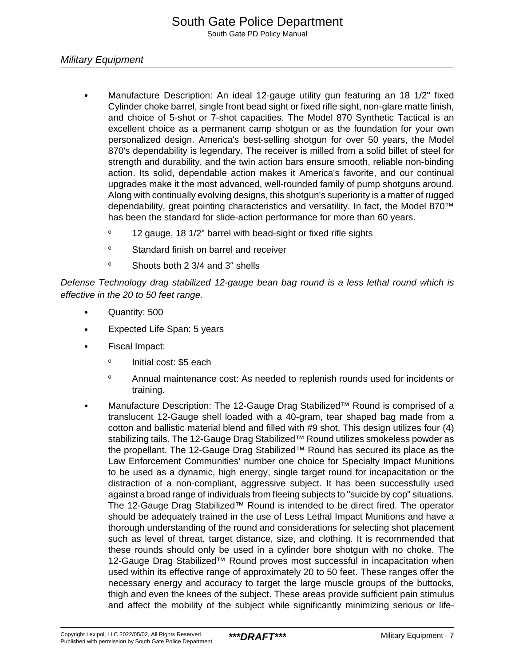## Military Equipment

- Manufacture Description: An ideal 12-gauge utility gun featuring an 18 1/2" fixed Cylinder choke barrel, single front bead sight or fixed rifle sight, non-glare matte finish, and choice of 5-shot or 7-shot capacities. The Model 870 Synthetic Tactical is an excellent choice as a permanent camp shotgun or as the foundation for your own personalized design. America's best-selling shotgun for over 50 years, the Model 870's dependability is legendary. The receiver is milled from a solid billet of steel for strength and durability, and the twin action bars ensure smooth, reliable non-binding action. Its solid, dependable action makes it America's favorite, and our continual upgrades make it the most advanced, well-rounded family of pump shotguns around. Along with continually evolving designs, this shotgun's superiority is a matter of rugged dependability, great pointing characteristics and versatility. In fact, the Model 870™ has been the standard for slide-action performance for more than 60 years.
	- <sup>o</sup> 12 gauge, 18 1/2" barrel with bead-sight or fixed rifle sights
	- <sup>o</sup> Standard finish on barrel and receiver
	- <sup>o</sup> Shoots both 2 3/4 and 3" shells

Defense Technology drag stabilized 12-gauge bean bag round is a less lethal round which is effective in the 20 to 50 feet range.

- Quantity: 500
- Expected Life Span: 5 years
- Fiscal Impact:
	- o Initial cost: \$5 each
	- <sup>o</sup> Annual maintenance cost: As needed to replenish rounds used for incidents or training.
- Manufacture Description: The 12-Gauge Drag Stabilized™ Round is comprised of a translucent 12-Gauge shell loaded with a 40-gram, tear shaped bag made from a cotton and ballistic material blend and filled with #9 shot. This design utilizes four (4) stabilizing tails. The 12-Gauge Drag Stabilized™ Round utilizes smokeless powder as the propellant. The 12-Gauge Drag Stabilized™ Round has secured its place as the Law Enforcement Communities' number one choice for Specialty Impact Munitions to be used as a dynamic, high energy, single target round for incapacitation or the distraction of a non-compliant, aggressive subject. It has been successfully used against a broad range of individuals from fleeing subjects to "suicide by cop" situations. The 12-Gauge Drag Stabilized™ Round is intended to be direct fired. The operator should be adequately trained in the use of Less Lethal Impact Munitions and have a thorough understanding of the round and considerations for selecting shot placement such as level of threat, target distance, size, and clothing. It is recommended that these rounds should only be used in a cylinder bore shotgun with no choke. The 12-Gauge Drag Stabilized™ Round proves most successful in incapacitation when used within its effective range of approximately 20 to 50 feet. These ranges offer the necessary energy and accuracy to target the large muscle groups of the buttocks, thigh and even the knees of the subject. These areas provide sufficient pain stimulus and affect the mobility of the subject while significantly minimizing serious or life-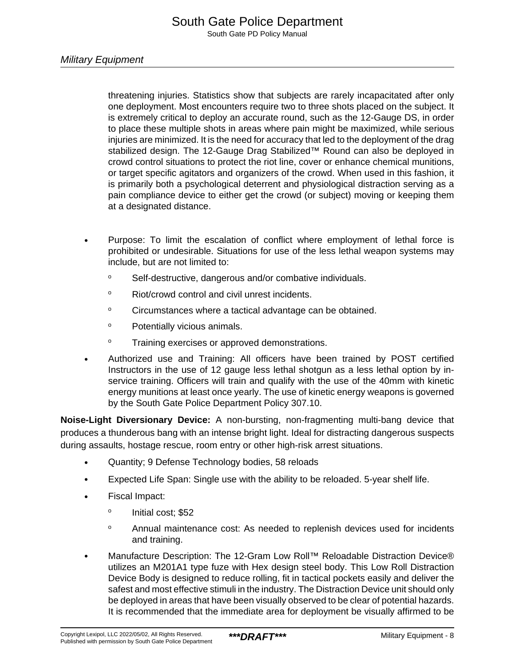Military Equipment

threatening injuries. Statistics show that subjects are rarely incapacitated after only one deployment. Most encounters require two to three shots placed on the subject. It is extremely critical to deploy an accurate round, such as the 12-Gauge DS, in order to place these multiple shots in areas where pain might be maximized, while serious injuries are minimized. It is the need for accuracy that led to the deployment of the drag stabilized design. The 12-Gauge Drag Stabilized™ Round can also be deployed in crowd control situations to protect the riot line, cover or enhance chemical munitions, or target specific agitators and organizers of the crowd. When used in this fashion, it is primarily both a psychological deterrent and physiological distraction serving as a pain compliance device to either get the crowd (or subject) moving or keeping them at a designated distance.

- Purpose: To limit the escalation of conflict where employment of lethal force is prohibited or undesirable. Situations for use of the less lethal weapon systems may include, but are not limited to:
	- <sup>o</sup> Self-destructive, dangerous and/or combative individuals.
	- <sup>o</sup> Riot/crowd control and civil unrest incidents.
	- <sup>o</sup> Circumstances where a tactical advantage can be obtained.
	- <sup>o</sup> Potentially vicious animals.
	- <sup>o</sup> Training exercises or approved demonstrations.
- Authorized use and Training: All officers have been trained by POST certified Instructors in the use of 12 gauge less lethal shotgun as a less lethal option by inservice training. Officers will train and qualify with the use of the 40mm with kinetic energy munitions at least once yearly. The use of kinetic energy weapons is governed by the South Gate Police Department Policy 307.10.

**Noise-Light Diversionary Device:** A non-bursting, non-fragmenting multi-bang device that produces a thunderous bang with an intense bright light. Ideal for distracting dangerous suspects during assaults, hostage rescue, room entry or other high-risk arrest situations.

- Quantity; 9 Defense Technology bodies, 58 reloads
- Expected Life Span: Single use with the ability to be reloaded. 5-year shelf life.
- Fiscal Impact:
	- o Initial cost; \$52
	- <sup>o</sup> Annual maintenance cost: As needed to replenish devices used for incidents and training.
- Manufacture Description: The 12-Gram Low Roll™ Reloadable Distraction Device® utilizes an M201A1 type fuze with Hex design steel body. This Low Roll Distraction Device Body is designed to reduce rolling, fit in tactical pockets easily and deliver the safest and most effective stimuli in the industry. The Distraction Device unit should only be deployed in areas that have been visually observed to be clear of potential hazards. It is recommended that the immediate area for deployment be visually affirmed to be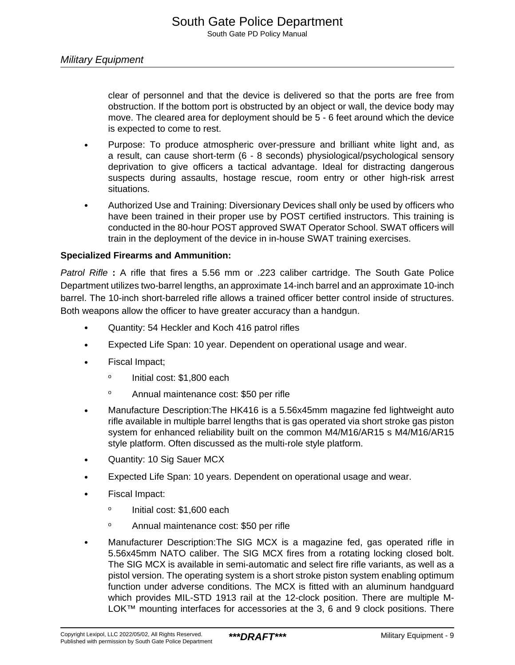clear of personnel and that the device is delivered so that the ports are free from obstruction. If the bottom port is obstructed by an object or wall, the device body may move. The cleared area for deployment should be 5 - 6 feet around which the device is expected to come to rest.

- Purpose: To produce atmospheric over-pressure and brilliant white light and, as a result, can cause short-term (6 - 8 seconds) physiological/psychological sensory deprivation to give officers a tactical advantage. Ideal for distracting dangerous suspects during assaults, hostage rescue, room entry or other high-risk arrest situations.
- Authorized Use and Training: Diversionary Devices shall only be used by officers who have been trained in their proper use by POST certified instructors. This training is conducted in the 80-hour POST approved SWAT Operator School. SWAT officers will train in the deployment of the device in in-house SWAT training exercises.

## **Specialized Firearms and Ammunition:**

Patrol Rifle **:** A rifle that fires a 5.56 mm or .223 caliber cartridge. The South Gate Police Department utilizes two-barrel lengths, an approximate 14-inch barrel and an approximate 10-inch barrel. The 10-inch short-barreled rifle allows a trained officer better control inside of structures. Both weapons allow the officer to have greater accuracy than a handgun.

- Quantity: 54 Heckler and Koch 416 patrol rifles
- Expected Life Span: 10 year. Dependent on operational usage and wear.
- Fiscal Impact;
	- o Initial cost: \$1,800 each
	- <sup>o</sup> Annual maintenance cost: \$50 per rifle
- Manufacture Description:The HK416 is a 5.56x45mm magazine fed lightweight auto rifle available in multiple barrel lengths that is gas operated via short stroke gas piston system for enhanced reliability built on the common M4/M16/AR15 s M4/M16/AR15 style platform. Often discussed as the multi-role style platform.
- Quantity: 10 Sig Sauer MCX
- Expected Life Span: 10 years. Dependent on operational usage and wear.
- Fiscal Impact:
	- o Initial cost: \$1,600 each
	- <sup>o</sup> Annual maintenance cost: \$50 per rifle
- Manufacturer Description:The SIG MCX is a magazine fed, gas operated rifle in 5.56x45mm NATO caliber. The SIG MCX fires from a rotating locking closed bolt. The SIG MCX is available in semi-automatic and select fire rifle variants, as well as a pistol version. The operating system is a short stroke piston system enabling optimum function under adverse conditions. The MCX is fitted with an aluminum handguard which provides MIL-STD 1913 rail at the 12-clock position. There are multiple M-LOK™ mounting interfaces for accessories at the 3, 6 and 9 clock positions. There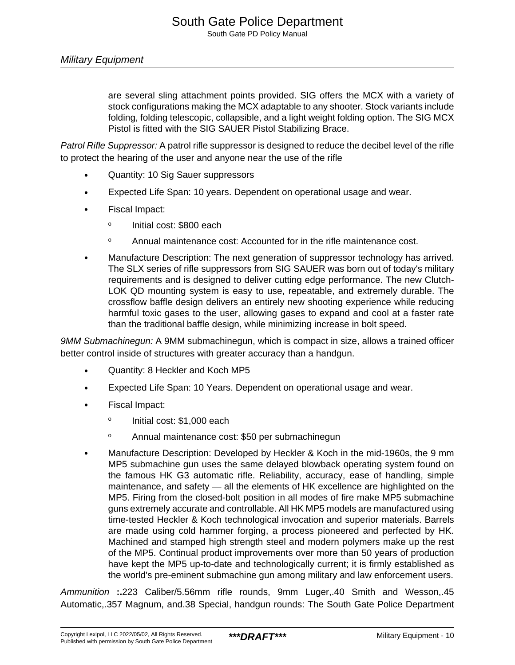are several sling attachment points provided. SIG offers the MCX with a variety of stock configurations making the MCX adaptable to any shooter. Stock variants include folding, folding telescopic, collapsible, and a light weight folding option. The SIG MCX Pistol is fitted with the SIG SAUER Pistol Stabilizing Brace.

Patrol Rifle Suppressor: A patrol rifle suppressor is designed to reduce the decibel level of the rifle to protect the hearing of the user and anyone near the use of the rifle

- Quantity: 10 Sig Sauer suppressors
- Expected Life Span: 10 years. Dependent on operational usage and wear.
- Fiscal Impact:
	- o Initial cost: \$800 each
	- <sup>o</sup> Annual maintenance cost: Accounted for in the rifle maintenance cost.
- Manufacture Description: The next generation of suppressor technology has arrived. The SLX series of rifle suppressors from SIG SAUER was born out of today's military requirements and is designed to deliver cutting edge performance. The new Clutch-LOK QD mounting system is easy to use, repeatable, and extremely durable. The crossflow baffle design delivers an entirely new shooting experience while reducing harmful toxic gases to the user, allowing gases to expand and cool at a faster rate than the traditional baffle design, while minimizing increase in bolt speed.

9MM Submachinegun: A 9MM submachinegun, which is compact in size, allows a trained officer better control inside of structures with greater accuracy than a handgun.

- Quantity: 8 Heckler and Koch MP5
- Expected Life Span: 10 Years. Dependent on operational usage and wear.
- Fiscal Impact:
	- o Initial cost: \$1,000 each
	- <sup>o</sup> Annual maintenance cost: \$50 per submachinegun
- Manufacture Description: Developed by Heckler & Koch in the mid-1960s, the 9 mm MP5 submachine gun uses the same delayed blowback operating system found on the famous HK G3 automatic rifle. Reliability, accuracy, ease of handling, simple maintenance, and safety — all the elements of HK excellence are highlighted on the MP5. Firing from the closed-bolt position in all modes of fire make MP5 submachine guns extremely accurate and controllable. All HK MP5 models are manufactured using time-tested Heckler & Koch technological invocation and superior materials. Barrels are made using cold hammer forging, a process pioneered and perfected by HK. Machined and stamped high strength steel and modern polymers make up the rest of the MP5. Continual product improvements over more than 50 years of production have kept the MP5 up-to-date and technologically current; it is firmly established as the world's pre-eminent submachine gun among military and law enforcement users.

Ammunition **:.**223 Caliber/5.56mm rifle rounds, 9mm Luger,.40 Smith and Wesson,.45 Automatic,.357 Magnum, and.38 Special, handgun rounds: The South Gate Police Department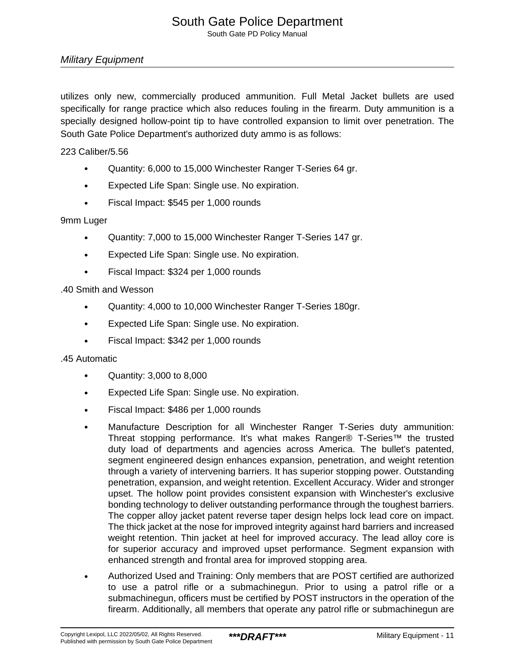## Military Equipment

utilizes only new, commercially produced ammunition. Full Metal Jacket bullets are used specifically for range practice which also reduces fouling in the firearm. Duty ammunition is a specially designed hollow-point tip to have controlled expansion to limit over penetration. The South Gate Police Department's authorized duty ammo is as follows:

223 Caliber/5.56

- Quantity: 6,000 to 15,000 Winchester Ranger T-Series 64 gr.
- Expected Life Span: Single use. No expiration.
- Fiscal Impact: \$545 per 1,000 rounds

#### 9mm Luger

- Quantity: 7,000 to 15,000 Winchester Ranger T-Series 147 gr.
- Expected Life Span: Single use. No expiration.
- Fiscal Impact: \$324 per 1,000 rounds

#### .40 Smith and Wesson

- Quantity: 4,000 to 10,000 Winchester Ranger T-Series 180gr.
- Expected Life Span: Single use. No expiration.
- Fiscal Impact: \$342 per 1,000 rounds

#### .45 Automatic

- Quantity: 3,000 to 8,000
- Expected Life Span: Single use. No expiration.
- Fiscal Impact: \$486 per 1,000 rounds
- Manufacture Description for all Winchester Ranger T-Series duty ammunition: Threat stopping performance. It's what makes Ranger® T-Series™ the trusted duty load of departments and agencies across America. The bullet's patented, segment engineered design enhances expansion, penetration, and weight retention through a variety of intervening barriers. It has superior stopping power. Outstanding penetration, expansion, and weight retention. Excellent Accuracy. Wider and stronger upset. The hollow point provides consistent expansion with Winchester's exclusive bonding technology to deliver outstanding performance through the toughest barriers. The copper alloy jacket patent reverse taper design helps lock lead core on impact. The thick jacket at the nose for improved integrity against hard barriers and increased weight retention. Thin jacket at heel for improved accuracy. The lead alloy core is for superior accuracy and improved upset performance. Segment expansion with enhanced strength and frontal area for improved stopping area.
- Authorized Used and Training: Only members that are POST certified are authorized to use a patrol rifle or a submachinegun. Prior to using a patrol rifle or a submachinegun, officers must be certified by POST instructors in the operation of the firearm. Additionally, all members that operate any patrol rifle or submachinegun are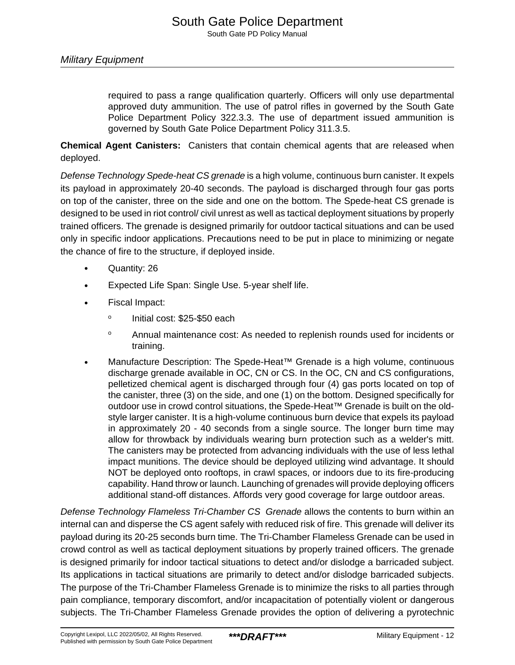required to pass a range qualification quarterly. Officers will only use departmental approved duty ammunition. The use of patrol rifles in governed by the South Gate Police Department Policy 322.3.3. The use of department issued ammunition is governed by South Gate Police Department Policy 311.3.5.

**Chemical Agent Canisters:** Canisters that contain chemical agents that are released when deployed.

Defense Technology Spede-heat CS grenade is a high volume, continuous burn canister. It expels its payload in approximately 20-40 seconds. The payload is discharged through four gas ports on top of the canister, three on the side and one on the bottom. The Spede-heat CS grenade is designed to be used in riot control/ civil unrest as well as tactical deployment situations by properly trained officers. The grenade is designed primarily for outdoor tactical situations and can be used only in specific indoor applications. Precautions need to be put in place to minimizing or negate the chance of fire to the structure, if deployed inside.

- Quantity: 26
- Expected Life Span: Single Use. 5-year shelf life.
- Fiscal Impact:
	- o Initial cost: \$25-\$50 each
	- <sup>o</sup> Annual maintenance cost: As needed to replenish rounds used for incidents or training.
- Manufacture Description: The Spede-Heat™ Grenade is a high volume, continuous discharge grenade available in OC, CN or CS. In the OC, CN and CS configurations, pelletized chemical agent is discharged through four (4) gas ports located on top of the canister, three (3) on the side, and one (1) on the bottom. Designed specifically for outdoor use in crowd control situations, the Spede-Heat™ Grenade is built on the oldstyle larger canister. It is a high-volume continuous burn device that expels its payload in approximately 20 - 40 seconds from a single source. The longer burn time may allow for throwback by individuals wearing burn protection such as a welder's mitt. The canisters may be protected from advancing individuals with the use of less lethal impact munitions. The device should be deployed utilizing wind advantage. It should NOT be deployed onto rooftops, in crawl spaces, or indoors due to its fire-producing capability. Hand throw or launch. Launching of grenades will provide deploying officers additional stand-off distances. Affords very good coverage for large outdoor areas.

Defense Technology Flameless Tri-Chamber CS Grenade allows the contents to burn within an internal can and disperse the CS agent safely with reduced risk of fire. This grenade will deliver its payload during its 20-25 seconds burn time. The Tri-Chamber Flameless Grenade can be used in crowd control as well as tactical deployment situations by properly trained officers. The grenade is designed primarily for indoor tactical situations to detect and/or dislodge a barricaded subject. Its applications in tactical situations are primarily to detect and/or dislodge barricaded subjects. The purpose of the Tri-Chamber Flameless Grenade is to minimize the risks to all parties through pain compliance, temporary discomfort, and/or incapacitation of potentially violent or dangerous subjects. The Tri-Chamber Flameless Grenade provides the option of delivering a pyrotechnic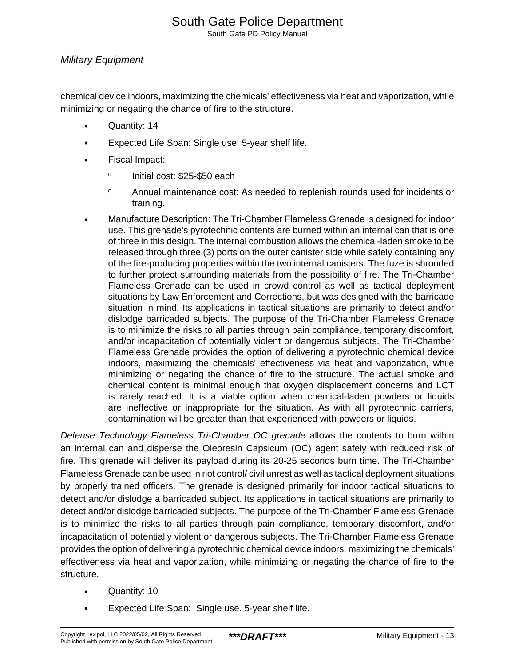## Military Equipment

chemical device indoors, maximizing the chemicals' effectiveness via heat and vaporization, while minimizing or negating the chance of fire to the structure.

- Quantity: 14
- Expected Life Span: Single use. 5-year shelf life.
- Fiscal Impact:
	- o Initial cost: \$25-\$50 each
	- <sup>o</sup> Annual maintenance cost: As needed to replenish rounds used for incidents or training.
- Manufacture Description: The Tri-Chamber Flameless Grenade is designed for indoor use. This grenade's pyrotechnic contents are burned within an internal can that is one of three in this design. The internal combustion allows the chemical-laden smoke to be released through three (3) ports on the outer canister side while safely containing any of the fire-producing properties within the two internal canisters. The fuze is shrouded to further protect surrounding materials from the possibility of fire. The Tri-Chamber Flameless Grenade can be used in crowd control as well as tactical deployment situations by Law Enforcement and Corrections, but was designed with the barricade situation in mind. Its applications in tactical situations are primarily to detect and/or dislodge barricaded subjects. The purpose of the Tri-Chamber Flameless Grenade is to minimize the risks to all parties through pain compliance, temporary discomfort, and/or incapacitation of potentially violent or dangerous subjects. The Tri-Chamber Flameless Grenade provides the option of delivering a pyrotechnic chemical device indoors, maximizing the chemicals' effectiveness via heat and vaporization, while minimizing or negating the chance of fire to the structure. The actual smoke and chemical content is minimal enough that oxygen displacement concerns and LCT is rarely reached. It is a viable option when chemical-laden powders or liquids are ineffective or inappropriate for the situation. As with all pyrotechnic carriers, contamination will be greater than that experienced with powders or liquids.

Defense Technology Flameless Tri-Chamber OC grenade allows the contents to burn within an internal can and disperse the Oleoresin Capsicum (OC) agent safely with reduced risk of fire. This grenade will deliver its payload during its 20-25 seconds burn time. The Tri-Chamber Flameless Grenade can be used in riot control/ civil unrest as well as tactical deployment situations by properly trained officers. The grenade is designed primarily for indoor tactical situations to detect and/or dislodge a barricaded subject. Its applications in tactical situations are primarily to detect and/or dislodge barricaded subjects. The purpose of the Tri-Chamber Flameless Grenade is to minimize the risks to all parties through pain compliance, temporary discomfort, and/or incapacitation of potentially violent or dangerous subjects. The Tri-Chamber Flameless Grenade provides the option of delivering a pyrotechnic chemical device indoors, maximizing the chemicals' effectiveness via heat and vaporization, while minimizing or negating the chance of fire to the structure.

- Quantity: 10
- Expected Life Span: Single use. 5-year shelf life.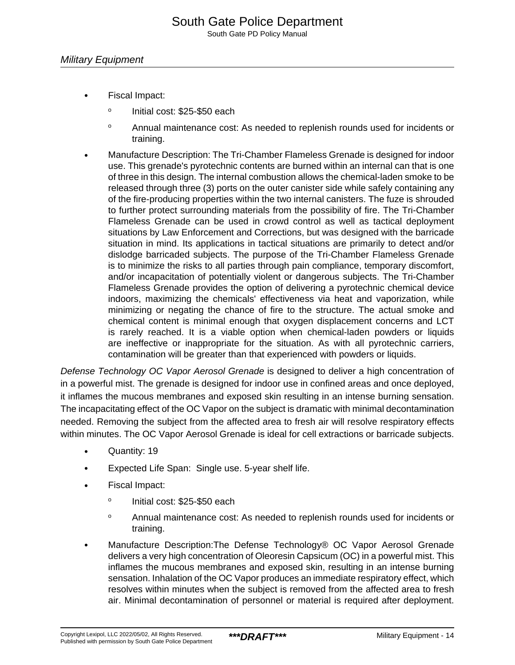- Fiscal Impact:
	- o Initial cost: \$25-\$50 each
	- <sup>o</sup> Annual maintenance cost: As needed to replenish rounds used for incidents or training.
- Manufacture Description: The Tri-Chamber Flameless Grenade is designed for indoor use. This grenade's pyrotechnic contents are burned within an internal can that is one of three in this design. The internal combustion allows the chemical-laden smoke to be released through three (3) ports on the outer canister side while safely containing any of the fire-producing properties within the two internal canisters. The fuze is shrouded to further protect surrounding materials from the possibility of fire. The Tri-Chamber Flameless Grenade can be used in crowd control as well as tactical deployment situations by Law Enforcement and Corrections, but was designed with the barricade situation in mind. Its applications in tactical situations are primarily to detect and/or dislodge barricaded subjects. The purpose of the Tri-Chamber Flameless Grenade is to minimize the risks to all parties through pain compliance, temporary discomfort, and/or incapacitation of potentially violent or dangerous subjects. The Tri-Chamber Flameless Grenade provides the option of delivering a pyrotechnic chemical device indoors, maximizing the chemicals' effectiveness via heat and vaporization, while minimizing or negating the chance of fire to the structure. The actual smoke and chemical content is minimal enough that oxygen displacement concerns and LCT is rarely reached. It is a viable option when chemical-laden powders or liquids are ineffective or inappropriate for the situation. As with all pyrotechnic carriers, contamination will be greater than that experienced with powders or liquids.

Defense Technology OC Vapor Aerosol Grenade is designed to deliver a high concentration of in a powerful mist. The grenade is designed for indoor use in confined areas and once deployed, it inflames the mucous membranes and exposed skin resulting in an intense burning sensation. The incapacitating effect of the OC Vapor on the subject is dramatic with minimal decontamination needed. Removing the subject from the affected area to fresh air will resolve respiratory effects within minutes. The OC Vapor Aerosol Grenade is ideal for cell extractions or barricade subjects.

- Quantity: 19
- Expected Life Span: Single use. 5-year shelf life.
- Fiscal Impact:
	- o Initial cost: \$25-\$50 each
	- <sup>o</sup> Annual maintenance cost: As needed to replenish rounds used for incidents or training.
- Manufacture Description:The Defense Technology® OC Vapor Aerosol Grenade delivers a very high concentration of Oleoresin Capsicum (OC) in a powerful mist. This inflames the mucous membranes and exposed skin, resulting in an intense burning sensation. Inhalation of the OC Vapor produces an immediate respiratory effect, which resolves within minutes when the subject is removed from the affected area to fresh air. Minimal decontamination of personnel or material is required after deployment.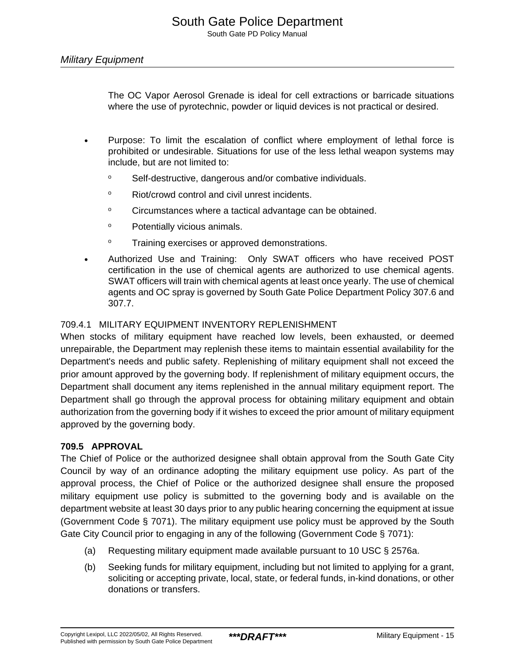The OC Vapor Aerosol Grenade is ideal for cell extractions or barricade situations where the use of pyrotechnic, powder or liquid devices is not practical or desired.

- Purpose: To limit the escalation of conflict where employment of lethal force is prohibited or undesirable. Situations for use of the less lethal weapon systems may include, but are not limited to:
	- <sup>o</sup> Self-destructive, dangerous and/or combative individuals.
	- <sup>o</sup> Riot/crowd control and civil unrest incidents.
	- <sup>o</sup> Circumstances where a tactical advantage can be obtained.
	- <sup>o</sup> Potentially vicious animals.
	- <sup>o</sup> Training exercises or approved demonstrations.
- Authorized Use and Training: Only SWAT officers who have received POST certification in the use of chemical agents are authorized to use chemical agents. SWAT officers will train with chemical agents at least once yearly. The use of chemical agents and OC spray is governed by South Gate Police Department Policy 307.6 and 307.7.

## 709.4.1 MILITARY EQUIPMENT INVENTORY REPLENISHMENT

When stocks of military equipment have reached low levels, been exhausted, or deemed unrepairable, the Department may replenish these items to maintain essential availability for the Department's needs and public safety. Replenishing of military equipment shall not exceed the prior amount approved by the governing body. If replenishment of military equipment occurs, the Department shall document any items replenished in the annual military equipment report. The Department shall go through the approval process for obtaining military equipment and obtain authorization from the governing body if it wishes to exceed the prior amount of military equipment approved by the governing body.

## **709.5 APPROVAL**

The Chief of Police or the authorized designee shall obtain approval from the South Gate City Council by way of an ordinance adopting the military equipment use policy. As part of the approval process, the Chief of Police or the authorized designee shall ensure the proposed military equipment use policy is submitted to the governing body and is available on the department website at least 30 days prior to any public hearing concerning the equipment at issue (Government Code § 7071). The military equipment use policy must be approved by the South Gate City Council prior to engaging in any of the following (Government Code § 7071):

- (a) Requesting military equipment made available pursuant to 10 USC § 2576a.
- (b) Seeking funds for military equipment, including but not limited to applying for a grant, soliciting or accepting private, local, state, or federal funds, in-kind donations, or other donations or transfers.